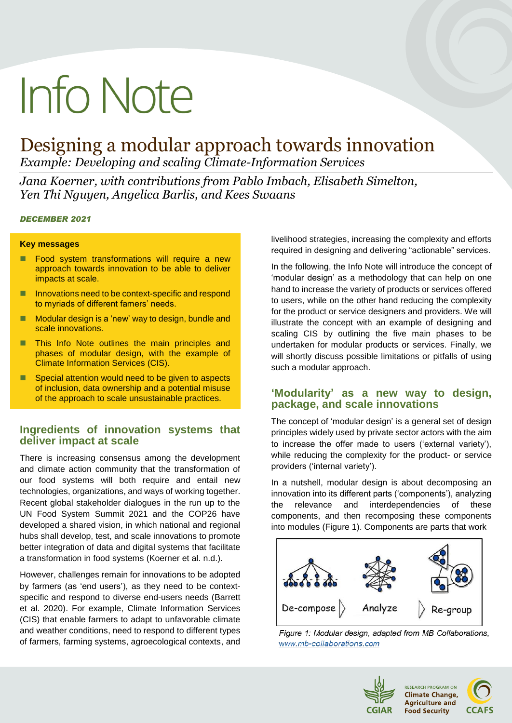# **Info Note**

# Designing a modular approach towards innovation

*Example: Developing and scaling Climate-Information Services* 

*Jana Koerner, with contributions from Pablo Imbach, Elisabeth Simelton, Yen Thi Nguyen, Angelica Barlis, and Kees Swaans*

## *DECEMBER 2021*

#### **Key messages**

- **Food system transformations will require a new** approach towards innovation to be able to deliver impacts at scale.
- Innovations need to be context-specific and respond to myriads of different famers' needs.
- Modular design is a 'new' way to design, bundle and scale innovations.
- **This Info Note outlines the main principles and** phases of modular design, with the example of Climate Information Services (CIS).
- Special attention would need to be given to aspects of inclusion, data ownership and a potential misuse of the approach to scale unsustainable practices.

# **Ingredients of innovation systems that deliver impact at scale**

There is increasing consensus among the development and climate action community that the transformation of our food systems will both require and entail new technologies, organizations, and ways of working together. Recent global stakeholder dialogues in the run up to the UN Food System Summit 2021 and the COP26 have developed a shared vision, in which national and regional hubs shall develop, test, and scale innovations to promote better integration of data and digital systems that facilitate a transformation in food systems (Koerner et al. n.d.).

However, challenges remain for innovations to be adopted by farmers (as 'end users'), as they need to be contextspecific and respond to diverse end-users needs (Barrett et al. 2020). For example, Climate Information Services (CIS) that enable farmers to adapt to unfavorable climate and weather conditions, need to respond to different types of farmers, farming systems, agroecological contexts, and

livelihood strategies, increasing the complexity and efforts required in designing and delivering "actionable" services.

In the following, the Info Note will introduce the concept of 'modular design' as a methodology that can help on one hand to increase the variety of products or services offered to users, while on the other hand reducing the complexity for the product or service designers and providers. We will illustrate the concept with an example of designing and scaling CIS by outlining the five main phases to be undertaken for modular products or services. Finally, we will shortly discuss possible limitations or pitfalls of using such a modular approach.

# **'Modularity' as a new way to design, package, and scale innovations**

The concept of 'modular design' is a general set of design principles widely used by private sector actors with the aim to increase the offer made to users ('external variety'), while reducing the complexity for the product- or service providers ('internal variety').

In a nutshell, modular design is about decomposing an innovation into its different parts ('components'), analyzing the relevance and interdependencies of these components, and then recomposing these components into modules (Figure 1). Components are parts that work



Figure 1: Modular design, adapted from MB Collaborations, www.mb-collaborations.com



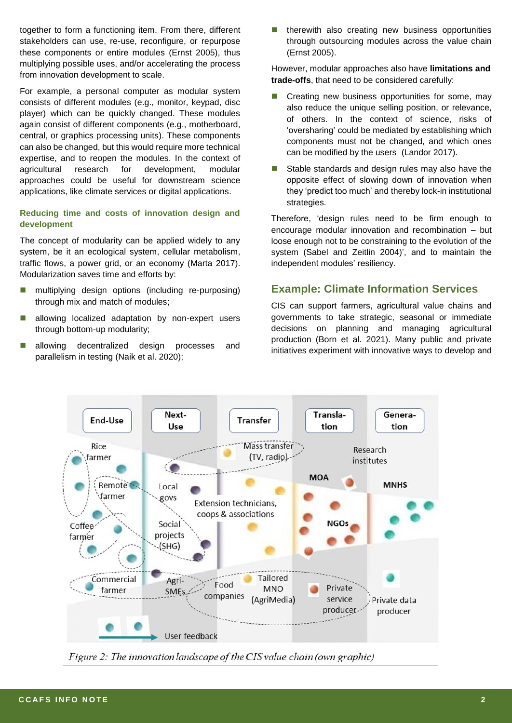together to form a functioning item. From there, different stakeholders can use, re-use, reconfigure, or repurpose these components or entire modules (Ernst 2005), thus multiplying possible uses, and/or accelerating the process from innovation development to scale.

For example, a personal computer as modular system consists of different modules (e.g., monitor, keypad, disc player) which can be quickly changed. These modules again consist of different components (e.g., motherboard, central, or graphics processing units). These components can also be changed, but this would require more technical expertise, and to reopen the modules. In the context of agricultural research for development, modular approaches could be useful for downstream science applications, like climate services or digital applications.

# **Reducing time and costs of innovation design and development**

The concept of modularity can be applied widely to any system, be it an ecological system, cellular metabolism, traffic flows, a power grid, or an economy (Marta 2017). Modularization saves time and efforts by:

- multiplying design options (including re-purposing) through mix and match of modules;
- allowing localized adaptation by non-expert users through bottom-up modularity;
- allowing decentralized design processes and parallelism in testing (Naik et al. 2020);

 $\blacksquare$  therewith also creating new business opportunities through outsourcing modules across the value chain (Ernst 2005).

However, modular approaches also have **limitations and trade-offs**, that need to be considered carefully:

- Creating new business opportunities for some, may also reduce the unique selling position, or relevance, of others. In the context of science, risks of 'oversharing' could be mediated by establishing which components must not be changed, and which ones can be modified by the users (Landor 2017).
- Stable standards and design rules may also have the opposite effect of slowing down of innovation when they 'predict too much' and thereby lock-in institutional strategies.

Therefore, 'design rules need to be firm enough to encourage modular innovation and recombination – but loose enough not to be constraining to the evolution of the system (Sabel and Zeitlin 2004)', and to maintain the independent modules' resiliency.

# **Example: Climate Information Services**

CIS can support farmers, agricultural value chains and governments to take strategic, seasonal or immediate decisions on planning and managing agricultural production (Born et al. 2021). Many public and private initiatives experiment with innovative ways to develop and



Figure 2: The innovation landscape of the CIS value chain (own graphic)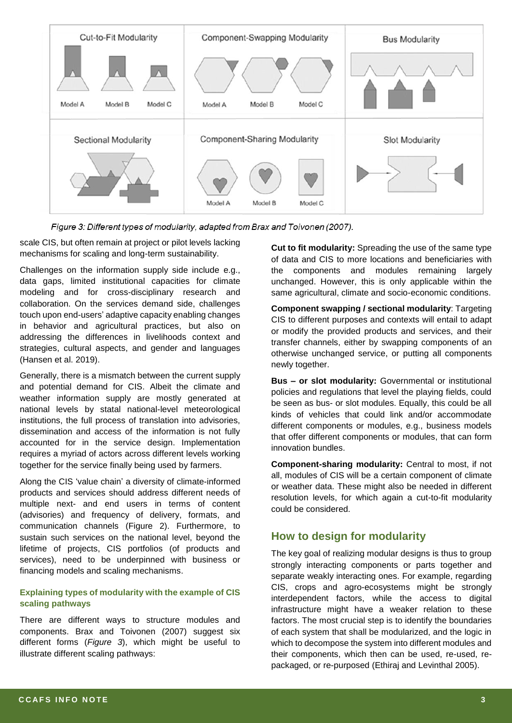

Figure 3: Different types of modularity, adapted from Brax and Toivonen (2007).

scale CIS, but often remain at project or pilot levels lacking mechanisms for scaling and long-term sustainability.

Challenges on the information supply side include e.g., data gaps, limited institutional capacities for climate modeling and for cross-disciplinary research and collaboration. On the services demand side, challenges touch upon end-users' adaptive capacity enabling changes in behavior and agricultural practices, but also on addressing the differences in livelihoods context and strategies, cultural aspects, and gender and languages (Hansen et al. 2019).

Generally, there is a mismatch between the current supply and potential demand for CIS. Albeit the climate and weather information supply are mostly generated at national levels by statal national-level meteorological institutions, the full process of translation into advisories, dissemination and access of the information is not fully accounted for in the service design. Implementation requires a myriad of actors across different levels working together for the service finally being used by farmers.

Along the CIS 'value chain' a diversity of climate-informed products and services should address different needs of multiple next- and end users in terms of content (advisories) and frequency of delivery, formats, and communication channels (Figure 2). Furthermore, to sustain such services on the national level, beyond the lifetime of projects, CIS portfolios (of products and services), need to be underpinned with business or financing models and scaling mechanisms.

# **Explaining types of modularity with the example of CIS scaling pathways**

There are different ways to structure modules and components. Brax and Toivonen (2007) suggest six different forms (*Figure 3*), which might be useful to illustrate different scaling pathways:

**Cut to fit modularity:** Spreading the use of the same type of data and CIS to more locations and beneficiaries with the components and modules remaining largely unchanged. However, this is only applicable within the same agricultural, climate and socio-economic conditions.

**Component swapping / sectional modularity**: Targeting CIS to different purposes and contexts will entail to adapt or modify the provided products and services, and their transfer channels, either by swapping components of an otherwise unchanged service, or putting all components newly together.

**Bus – or slot modularity:** Governmental or institutional policies and regulations that level the playing fields, could be seen as bus- or slot modules. Equally, this could be all kinds of vehicles that could link and/or accommodate different components or modules, e.g., business models that offer different components or modules, that can form innovation bundles.

**Component-sharing modularity:** Central to most, if not all, modules of CIS will be a certain component of climate or weather data. These might also be needed in different resolution levels, for which again a cut-to-fit modularity could be considered.

# **How to design for modularity**

The key goal of realizing modular designs is thus to group strongly interacting components or parts together and separate weakly interacting ones. For example, regarding CIS, crops and agro-ecosystems might be strongly interdependent factors, while the access to digital infrastructure might have a weaker relation to these factors. The most crucial step is to identify the boundaries of each system that shall be modularized, and the logic in which to decompose the system into different modules and their components, which then can be used, re-used, repackaged, or re-purposed (Ethiraj and Levinthal 2005).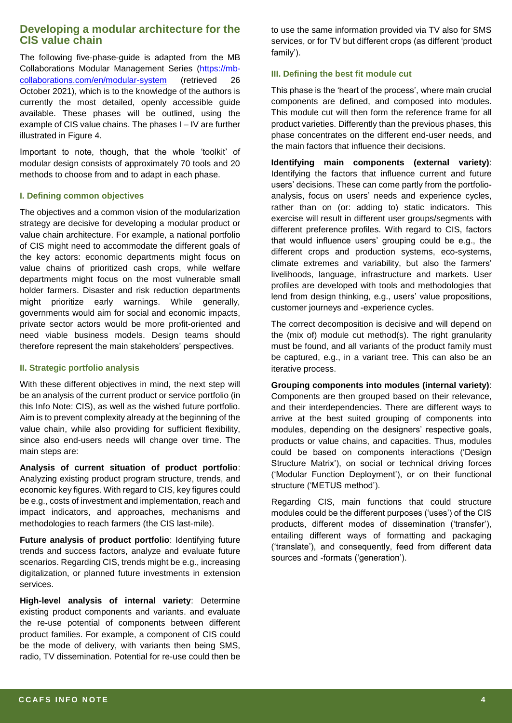The following five-phase-guide is adapted from the MB Collaborations Modular Management Series [\(https://mb](https://mb-collaborations.com/en/modular-system)[collaborations.com/en/modular-system](https://mb-collaborations.com/en/modular-system) (retrieved 26 October 2021), which is to the knowledge of the authors is currently the most detailed, openly accessible guide available. These phases will be outlined, using the example of CIS value chains. The phases I – IV are further illustrated in Figure 4.

Important to note, though, that the whole 'toolkit' of modular design consists of approximately 70 tools and 20 methods to choose from and to adapt in each phase.

#### **I. Defining common objectives**

The objectives and a common vision of the modularization strategy are decisive for developing a modular product or value chain architecture. For example, a national portfolio of CIS might need to accommodate the different goals of the key actors: economic departments might focus on value chains of prioritized cash crops, while welfare departments might focus on the most vulnerable small holder farmers. Disaster and risk reduction departments might prioritize early warnings. While generally, governments would aim for social and economic impacts, private sector actors would be more profit-oriented and need viable business models. Design teams should therefore represent the main stakeholders' perspectives.

#### **II. Strategic portfolio analysis**

With these different objectives in mind, the next step will be an analysis of the current product or service portfolio (in this Info Note: CIS), as well as the wished future portfolio. Aim is to prevent complexity already at the beginning of the value chain, while also providing for sufficient flexibility, since also end-users needs will change over time. The main steps are:

**Analysis of current situation of product portfolio**: Analyzing existing product program structure, trends, and economic key figures. With regard to CIS, key figures could be e.g., costs of investment and implementation, reach and impact indicators, and approaches, mechanisms and methodologies to reach farmers (the CIS last-mile).

**Future analysis of product portfolio**: Identifying future trends and success factors, analyze and evaluate future scenarios. Regarding CIS, trends might be e.g., increasing digitalization, or planned future investments in extension services.

**High-level analysis of internal variety**: Determine existing product components and variants. and evaluate the re-use potential of components between different product families. For example, a component of CIS could be the mode of delivery, with variants then being SMS, radio, TV dissemination. Potential for re-use could then be

to use the same information provided via TV also for SMS services, or for TV but different crops (as different 'product family').

#### **III. Defining the best fit module cut**

This phase is the 'heart of the process', where main crucial components are defined, and composed into modules. This module cut will then form the reference frame for all product varieties. Differently than the previous phases, this phase concentrates on the different end-user needs, and the main factors that influence their decisions.

**Identifying main components (external variety)**: Identifying the factors that influence current and future users' decisions. These can come partly from the portfolioanalysis, focus on users' needs and experience cycles, rather than on (or: adding to) static indicators. This exercise will result in different user groups/segments with different preference profiles. With regard to CIS, factors that would influence users' grouping could be e.g., the different crops and production systems, eco-systems, climate extremes and variability, but also the farmers' livelihoods, language, infrastructure and markets. User profiles are developed with tools and methodologies that lend from design thinking, e.g., users' value propositions, customer journeys and -experience cycles.

The correct decomposition is decisive and will depend on the (mix of) module cut method(s). The right granularity must be found, and all variants of the product family must be captured, e.g., in a variant tree. This can also be an iterative process.

**Grouping components into modules (internal variety)**: Components are then grouped based on their relevance, and their interdependencies. There are different ways to arrive at the best suited grouping of components into modules, depending on the designers' respective goals, products or value chains, and capacities. Thus, modules could be based on components interactions ('Design Structure Matrix'), on social or technical driving forces ('Modular Function Deployment'), or on their functional structure ('METUS method').

Regarding CIS, main functions that could structure modules could be the different purposes ('uses') of the CIS products, different modes of dissemination ('transfer'), entailing different ways of formatting and packaging ('translate'), and consequently, feed from different data sources and -formats ('generation').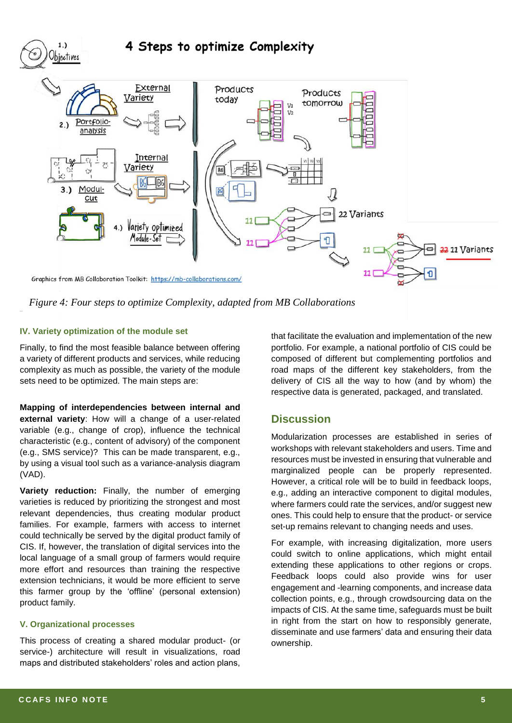

*Figure 4: Four steps to optimize Complexity, adapted from MB Collaborations*

## **IV. Variety optimization of the module set**

Finally, to find the most feasible balance between offering a variety of different products and services, while reducing complexity as much as possible, the variety of the module sets need to be optimized. The main steps are:

**Mapping of interdependencies between internal and external variety**: How will a change of a user-related variable (e.g., change of crop), influence the technical characteristic (e.g., content of advisory) of the component (e.g., SMS service)? This can be made transparent, e.g., by using a visual tool such as a variance-analysis diagram (VAD).

**Variety reduction:** Finally, the number of emerging varieties is reduced by prioritizing the strongest and most relevant dependencies, thus creating modular product families. For example, farmers with access to internet could technically be served by the digital product family of CIS. If, however, the translation of digital services into the local language of a small group of farmers would require more effort and resources than training the respective extension technicians, it would be more efficient to serve this farmer group by the 'offline' (personal extension) product family.

#### **V. Organizational processes**

This process of creating a shared modular product- (or service-) architecture will result in visualizations, road maps and distributed stakeholders' roles and action plans,

that facilitate the evaluation and implementation of the new portfolio. For example, a national portfolio of CIS could be composed of different but complementing portfolios and road maps of the different key stakeholders, from the delivery of CIS all the way to how (and by whom) the respective data is generated, packaged, and translated.

# **Discussion**

Modularization processes are established in series of workshops with relevant stakeholders and users. Time and resources must be invested in ensuring that vulnerable and marginalized people can be properly represented. However, a critical role will be to build in feedback loops, e.g., adding an interactive component to digital modules, where farmers could rate the services, and/or suggest new ones. This could help to ensure that the product- or service set-up remains relevant to changing needs and uses.

For example, with increasing digitalization, more users could switch to online applications, which might entail extending these applications to other regions or crops. Feedback loops could also provide wins for user engagement and -learning components, and increase data collection points, e.g., through crowdsourcing data on the impacts of CIS. At the same time, safeguards must be built in right from the start on how to responsibly generate, disseminate and use farmers' data and ensuring their data ownership.